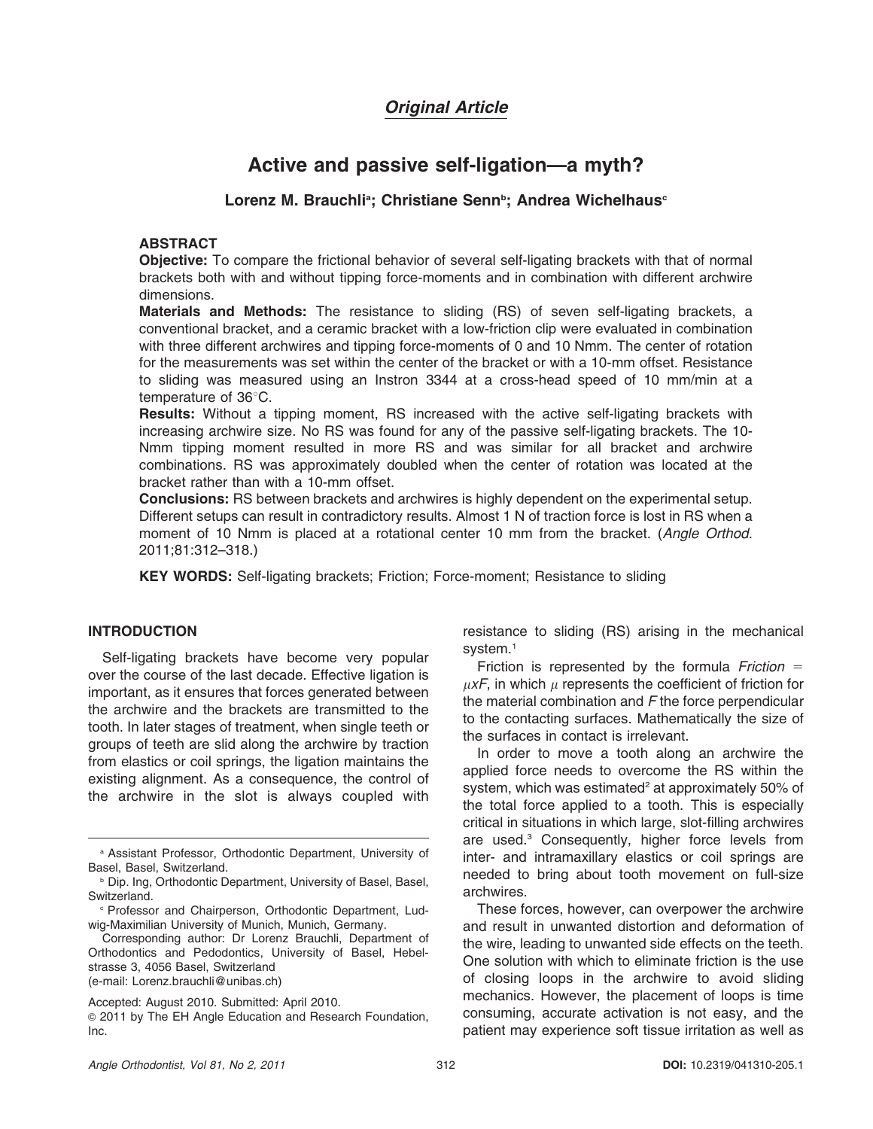# Original Article

# Active and passive self-ligation—a myth?

# Lorenz M. Brauchli<sup>a</sup>; Christiane Senn<sup>ь</sup>; Andrea Wichelhaus<sup>c</sup>

#### ABSTRACT

Objective: To compare the frictional behavior of several self-ligating brackets with that of normal brackets both with and without tipping force-moments and in combination with different archwire dimensions.

Materials and Methods: The resistance to sliding (RS) of seven self-ligating brackets, a conventional bracket, and a ceramic bracket with a low-friction clip were evaluated in combination with three different archwires and tipping force-moments of 0 and 10 Nmm. The center of rotation for the measurements was set within the center of the bracket or with a 10-mm offset. Resistance to sliding was measured using an Instron 3344 at a cross-head speed of 10 mm/min at a temperature of  $36^{\circ}$ C.

Results: Without a tipping moment, RS increased with the active self-ligating brackets with increasing archwire size. No RS was found for any of the passive self-ligating brackets. The 10- Nmm tipping moment resulted in more RS and was similar for all bracket and archwire combinations. RS was approximately doubled when the center of rotation was located at the bracket rather than with a 10-mm offset.

Conclusions: RS between brackets and archwires is highly dependent on the experimental setup. Different setups can result in contradictory results. Almost 1 N of traction force is lost in RS when a moment of 10 Nmm is placed at a rotational center 10 mm from the bracket. (Angle Orthod. 2011;81:312–318.)

KEY WORDS: Self-ligating brackets; Friction; Force-moment; Resistance to sliding

# **INTRODUCTION**

Self-ligating brackets have become very popular over the course of the last decade. Effective ligation is important, as it ensures that forces generated between the archwire and the brackets are transmitted to the tooth. In later stages of treatment, when single teeth or groups of teeth are slid along the archwire by traction from elastics or coil springs, the ligation maintains the existing alignment. As a consequence, the control of the archwire in the slot is always coupled with

resistance to sliding (RS) arising in the mechanical system.<sup>1</sup>

Friction is represented by the formula Friction  $=$  $\mu$ xF, in which  $\mu$  represents the coefficient of friction for the material combination and  $F$  the force perpendicular to the contacting surfaces. Mathematically the size of the surfaces in contact is irrelevant.

In order to move a tooth along an archwire the applied force needs to overcome the RS within the system, which was estimated<sup>2</sup> at approximately 50% of the total force applied to a tooth. This is especially critical in situations in which large, slot-filling archwires are used.3 Consequently, higher force levels from inter- and intramaxillary elastics or coil springs are needed to bring about tooth movement on full-size archwires.

These forces, however, can overpower the archwire and result in unwanted distortion and deformation of the wire, leading to unwanted side effects on the teeth. One solution with which to eliminate friction is the use of closing loops in the archwire to avoid sliding mechanics. However, the placement of loops is time consuming, accurate activation is not easy, and the patient may experience soft tissue irritation as well as

<sup>a</sup> Assistant Professor, Orthodontic Department, University of Basel, Basel, Switzerland.

**b** Dip. Ing, Orthodontic Department, University of Basel, Basel, Switzerland.

<sup>c</sup> Professor and Chairperson, Orthodontic Department, Ludwig-Maximilian University of Munich, Munich, Germany.

Corresponding author: Dr Lorenz Brauchli, Department of Orthodontics and Pedodontics, University of Basel, Hebelstrasse 3, 4056 Basel, Switzerland (e-mail: Lorenz.brauchli@unibas.ch)

Accepted: August 2010. Submitted: April 2010.

<sup>G</sup> 2011 by The EH Angle Education and Research Foundation, Inc.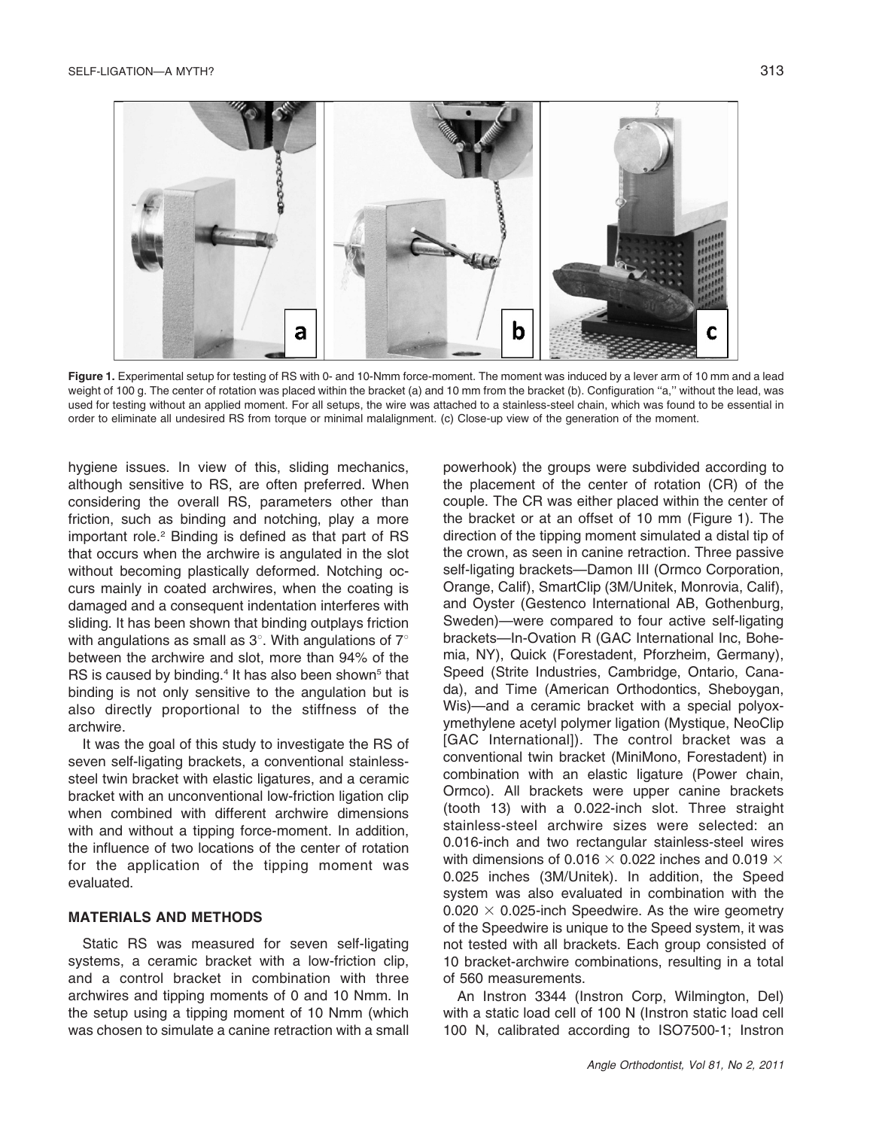

Figure 1. Experimental setup for testing of RS with 0- and 10-Nmm force-moment. The moment was induced by a lever arm of 10 mm and a lead weight of 100 g. The center of rotation was placed within the bracket (a) and 10 mm from the bracket (b). Configuration "a," without the lead, was used for testing without an applied moment. For all setups, the wire was attached to a stainless-steel chain, which was found to be essential in order to eliminate all undesired RS from torque or minimal malalignment. (c) Close-up view of the generation of the moment.

hygiene issues. In view of this, sliding mechanics, although sensitive to RS, are often preferred. When considering the overall RS, parameters other than friction, such as binding and notching, play a more important role. $2$  Binding is defined as that part of RS that occurs when the archwire is angulated in the slot without becoming plastically deformed. Notching occurs mainly in coated archwires, when the coating is damaged and a consequent indentation interferes with sliding. It has been shown that binding outplays friction with angulations as small as  $3^\circ$ . With angulations of  $7^\circ$ between the archwire and slot, more than 94% of the RS is caused by binding.<sup>4</sup> It has also been shown<sup>5</sup> that binding is not only sensitive to the angulation but is also directly proportional to the stiffness of the archwire.

It was the goal of this study to investigate the RS of seven self-ligating brackets, a conventional stainlesssteel twin bracket with elastic ligatures, and a ceramic bracket with an unconventional low-friction ligation clip when combined with different archwire dimensions with and without a tipping force-moment. In addition, the influence of two locations of the center of rotation for the application of the tipping moment was evaluated.

### MATERIALS AND METHODS

Static RS was measured for seven self-ligating systems, a ceramic bracket with a low-friction clip, and a control bracket in combination with three archwires and tipping moments of 0 and 10 Nmm. In the setup using a tipping moment of 10 Nmm (which was chosen to simulate a canine retraction with a small powerhook) the groups were subdivided according to the placement of the center of rotation (CR) of the couple. The CR was either placed within the center of the bracket or at an offset of 10 mm (Figure 1). The direction of the tipping moment simulated a distal tip of the crown, as seen in canine retraction. Three passive self-ligating brackets—Damon III (Ormco Corporation, Orange, Calif), SmartClip (3M/Unitek, Monrovia, Calif), and Oyster (Gestenco International AB, Gothenburg, Sweden)—were compared to four active self-ligating brackets—In-Ovation R (GAC International Inc, Bohemia, NY), Quick (Forestadent, Pforzheim, Germany), Speed (Strite Industries, Cambridge, Ontario, Canada), and Time (American Orthodontics, Sheboygan, Wis)—and a ceramic bracket with a special polyoxymethylene acetyl polymer ligation (Mystique, NeoClip [GAC International]). The control bracket was a conventional twin bracket (MiniMono, Forestadent) in combination with an elastic ligature (Power chain, Ormco). All brackets were upper canine brackets (tooth 13) with a 0.022-inch slot. Three straight stainless-steel archwire sizes were selected: an 0.016-inch and two rectangular stainless-steel wires with dimensions of 0.016  $\times$  0.022 inches and 0.019  $\times$ 0.025 inches (3M/Unitek). In addition, the Speed system was also evaluated in combination with the  $0.020 \times 0.025$ -inch Speedwire. As the wire geometry of the Speedwire is unique to the Speed system, it was not tested with all brackets. Each group consisted of 10 bracket-archwire combinations, resulting in a total of 560 measurements.

An Instron 3344 (Instron Corp, Wilmington, Del) with a static load cell of 100 N (Instron static load cell 100 N, calibrated according to ISO7500-1; Instron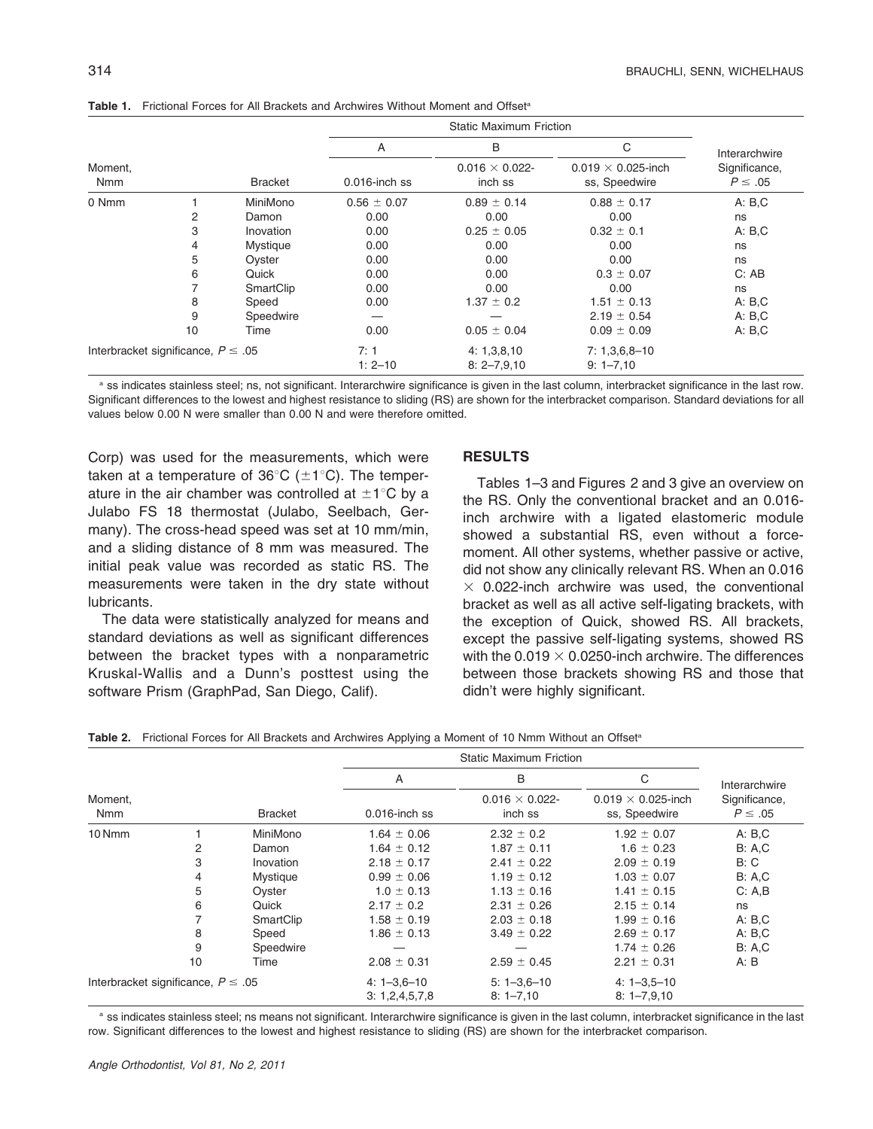|                                         |    |                | A                 | B                                 | C                                           | Interarchwire<br>Significance,<br>$P \le .05$ |  |
|-----------------------------------------|----|----------------|-------------------|-----------------------------------|---------------------------------------------|-----------------------------------------------|--|
| Moment,<br><b>Nmm</b>                   |    | <b>Bracket</b> | $0.016$ -inch ss  | $0.016 \times 0.022$ -<br>inch ss | $0.019 \times 0.025$ -inch<br>ss, Speedwire |                                               |  |
| 0 Nmm                                   |    | MiniMono       | $0.56 \pm 0.07$   | $0.89 \pm 0.14$                   | $0.88 \pm 0.17$                             | A: B, C                                       |  |
|                                         | 2  | Damon          | 0.00              | 0.00                              | 0.00                                        | ns                                            |  |
|                                         | 3  | Inovation      | 0.00              | $0.25 \pm 0.05$                   | $0.32 \pm 0.1$                              | A: B, C                                       |  |
|                                         | 4  | Mystique       | 0.00              | 0.00                              | 0.00                                        | ns                                            |  |
|                                         | 5  | Oyster         | 0.00              | 0.00                              | 0.00                                        | ns                                            |  |
|                                         | 6  | Quick          | 0.00              | 0.00                              | $0.3 \pm 0.07$                              | C:AB                                          |  |
|                                         |    | SmartClip      | 0.00              | 0.00                              | 0.00                                        | ns                                            |  |
|                                         | 8  | Speed          | 0.00              | $1.37 \pm 0.2$                    | $1.51 \pm 0.13$                             | A: B, C                                       |  |
|                                         | 9  | Speedwire      | _                 |                                   | $2.19 \pm 0.54$                             | A: B.C                                        |  |
|                                         | 10 | Time           | 0.00              | $0.05 \pm 0.04$                   | $0.09 \pm 0.09$                             | A: B, C                                       |  |
| Interbracket significance, $P \leq .05$ |    |                | 7:1<br>$1:2 - 10$ | 4: 1,3,8,10<br>$8: 2 - 7.9.10$    | $7: 1,3,6,8 - 10$<br>$9:1 - 7.10$           |                                               |  |

Table 1. Frictional Forces for All Brackets and Archwires Without Moment and Offset<sup>a</sup>

a ss indicates stainless steel; ns, not significant. Interarchwire significance is given in the last column, interbracket significance in the last row. Significant differences to the lowest and highest resistance to sliding (RS) are shown for the interbracket comparison. Standard deviations for all values below 0.00 N were smaller than 0.00 N and were therefore omitted.

Corp) was used for the measurements, which were taken at a temperature of  $36^{\circ}C$  ( $\pm 1^{\circ}C$ ). The temperature in the air chamber was controlled at  $\pm 1^{\circ}$ C by a Julabo FS 18 thermostat (Julabo, Seelbach, Germany). The cross-head speed was set at 10 mm/min, and a sliding distance of 8 mm was measured. The initial peak value was recorded as static RS. The measurements were taken in the dry state without lubricants.

The data were statistically analyzed for means and standard deviations as well as significant differences between the bracket types with a nonparametric Kruskal-Wallis and a Dunn's posttest using the software Prism (GraphPad, San Diego, Calif).

#### RESULTS

Tables 1–3 and Figures 2 and 3 give an overview on the RS. Only the conventional bracket and an 0.016 inch archwire with a ligated elastomeric module showed a substantial RS, even without a forcemoment. All other systems, whether passive or active, did not show any clinically relevant RS. When an 0.016  $\times$  0.022-inch archwire was used, the conventional bracket as well as all active self-ligating brackets, with the exception of Quick, showed RS. All brackets, except the passive self-ligating systems, showed RS with the  $0.019 \times 0.0250$ -inch archwire. The differences between those brackets showing RS and those that didn't were highly significant.

|  | Table 2. Frictional Forces for All Brackets and Archwires Applying a Moment of 10 Nmm Without an Offset <sup>a</sup> |  |  |  |  |  |  |  |  |  |  |
|--|----------------------------------------------------------------------------------------------------------------------|--|--|--|--|--|--|--|--|--|--|
|--|----------------------------------------------------------------------------------------------------------------------|--|--|--|--|--|--|--|--|--|--|

|                                         |    |                 | A                   | B                                 | С                                           | Interarchwire                 |  |
|-----------------------------------------|----|-----------------|---------------------|-----------------------------------|---------------------------------------------|-------------------------------|--|
| Moment.<br><b>Nmm</b>                   |    | <b>Bracket</b>  | $0.016$ -inch ss    | $0.016 \times 0.022$ -<br>inch ss | $0.019 \times 0.025$ -inch<br>ss, Speedwire | Significance,<br>$P \leq .05$ |  |
| 10 Nmm                                  |    | MiniMono        | $1.64 \pm 0.06$     | $2.32 \pm 0.2$                    | $1.92 \pm 0.07$                             | A: B, C                       |  |
|                                         | 2  | Damon           | $1.64 \pm 0.12$     | $1.87 \pm 0.11$                   | $1.6 \pm 0.23$                              | <b>B: A.C</b>                 |  |
|                                         | 3  | Inovation       | $2.18 \pm 0.17$     | $2.41 \pm 0.22$                   | $2.09 \pm 0.19$                             | <b>B: C</b>                   |  |
|                                         | 4  | <b>Mystique</b> | $0.99 \pm 0.06$     | $1.19 \pm 0.12$                   | $1.03 \pm 0.07$                             | B: A, C                       |  |
|                                         | 5  | Oyster          | $1.0 \pm 0.13$      | $1.13 \pm 0.16$                   | $1.41 \pm 0.15$                             | C: A, B                       |  |
|                                         | 6  | Quick           | $2.17 \pm 0.2$      | $2.31 \pm 0.26$                   | $2.15 \pm 0.14$                             | ns                            |  |
|                                         |    | SmartClip       | $1.58 \pm 0.19$     | $2.03 \pm 0.18$                   | $1.99 \pm 0.16$                             | A: B, C                       |  |
|                                         | 8  | Speed           | $1.86 \pm 0.13$     | $3.49 \pm 0.22$                   | $2.69 \pm 0.17$                             | A: B, C                       |  |
|                                         | 9  | Speedwire       |                     |                                   | $1.74 \pm 0.26$                             | <b>B: A.C</b>                 |  |
|                                         | 10 | Time            | $2.08 \pm 0.31$     | $2.59 \pm 0.45$                   | $2.21 \pm 0.31$                             | A: B                          |  |
| Interbracket significance, $P \leq .05$ |    |                 | $4: 1 - 3.6 - 10$   | $5: 1 - 3.6 - 10$                 | $4: 1 - 3.5 - 10$                           |                               |  |
|                                         |    |                 | 3: 1, 2, 4, 5, 7, 8 | $8: 1 - 7, 10$                    | $8: 1 - 7.9.10$                             |                               |  |

a ss indicates stainless steel; ns means not significant. Interarchwire significance is given in the last column, interbracket significance in the last row. Significant differences to the lowest and highest resistance to sliding (RS) are shown for the interbracket comparison.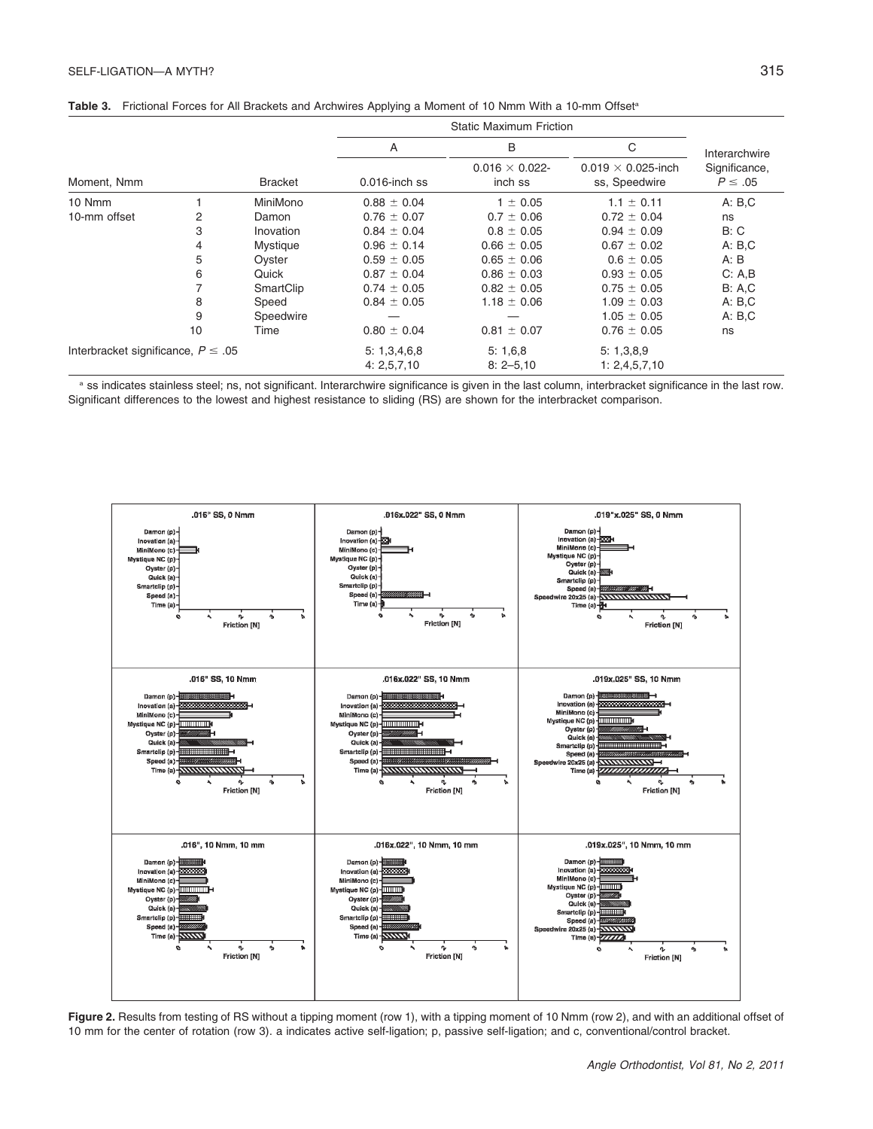| Moment, Nmm                             |    |                                    | A                              | B                                 | C                                           | Interarchwire                 |
|-----------------------------------------|----|------------------------------------|--------------------------------|-----------------------------------|---------------------------------------------|-------------------------------|
|                                         |    | $0.016$ -inch ss<br><b>Bracket</b> |                                | $0.016 \times 0.022$ -<br>inch ss | $0.019 \times 0.025$ -inch<br>ss, Speedwire | Significance,<br>$P \leq .05$ |
| 10 Nmm                                  |    | MiniMono                           | $0.88 \pm 0.04$                | $1 \pm 0.05$                      | $1.1 \pm 0.11$                              | A: B, C                       |
| 10-mm offset                            | 2  | Damon                              | $0.76 \pm 0.07$                | $0.7 \pm 0.06$                    | $0.72 \pm 0.04$                             | ns                            |
|                                         | 3  | Inovation                          | $0.84 \pm 0.04$                | $0.8 \pm 0.05$                    | $0.94 \pm 0.09$                             | <b>B: C</b>                   |
|                                         | 4  | Mystique                           | $0.96 \pm 0.14$                | $0.66 \pm 0.05$                   | $0.67 \pm 0.02$                             | A: B, C                       |
|                                         | 5  | Oyster                             | $0.59 \pm 0.05$                | $0.65 \pm 0.06$                   | $0.6 \pm 0.05$                              | A: B                          |
|                                         | 6  | Quick                              | $0.87 \pm 0.04$                | $0.86 \pm 0.03$                   | $0.93 \pm 0.05$                             | C: A, B                       |
|                                         |    | SmartClip                          | $0.74 \pm 0.05$                | $0.82 \pm 0.05$                   | $0.75 \pm 0.05$                             | <b>B: A.C</b>                 |
|                                         | 8  | Speed                              | $0.84 \pm 0.05$                | $1.18 \pm 0.06$                   | $1.09 \pm 0.03$                             | A: B.C                        |
|                                         | 9  | Speedwire                          |                                |                                   | $1.05 \pm 0.05$                             | A: B, C                       |
|                                         | 10 | Time                               | $0.80 \pm 0.04$                | $0.81 \pm 0.07$                   | $0.76 \pm 0.05$                             | ns                            |
| Interbracket significance, $P \leq .05$ |    |                                    | 5: 1,3,4,6,8<br>4: 2, 5, 7, 10 | 5: 1,6.8<br>$8: 2 - 5, 10$        | 5: 1,3,8,9<br>1: 2, 4, 5, 7, 10             |                               |

Table 3. Frictional Forces for All Brackets and Archwires Applying a Moment of 10 Nmm With a 10-mm Offset<sup>a</sup>

a ss indicates stainless steel; ns, not significant. Interarchwire significance is given in the last column, interbracket significance in the last row. Significant differences to the lowest and highest resistance to sliding (RS) are shown for the interbracket comparison.



Figure 2. Results from testing of RS without a tipping moment (row 1), with a tipping moment of 10 Nmm (row 2), and with an additional offset of 10 mm for the center of rotation (row 3). a indicates active self-ligation; p, passive self-ligation; and c, conventional/control bracket.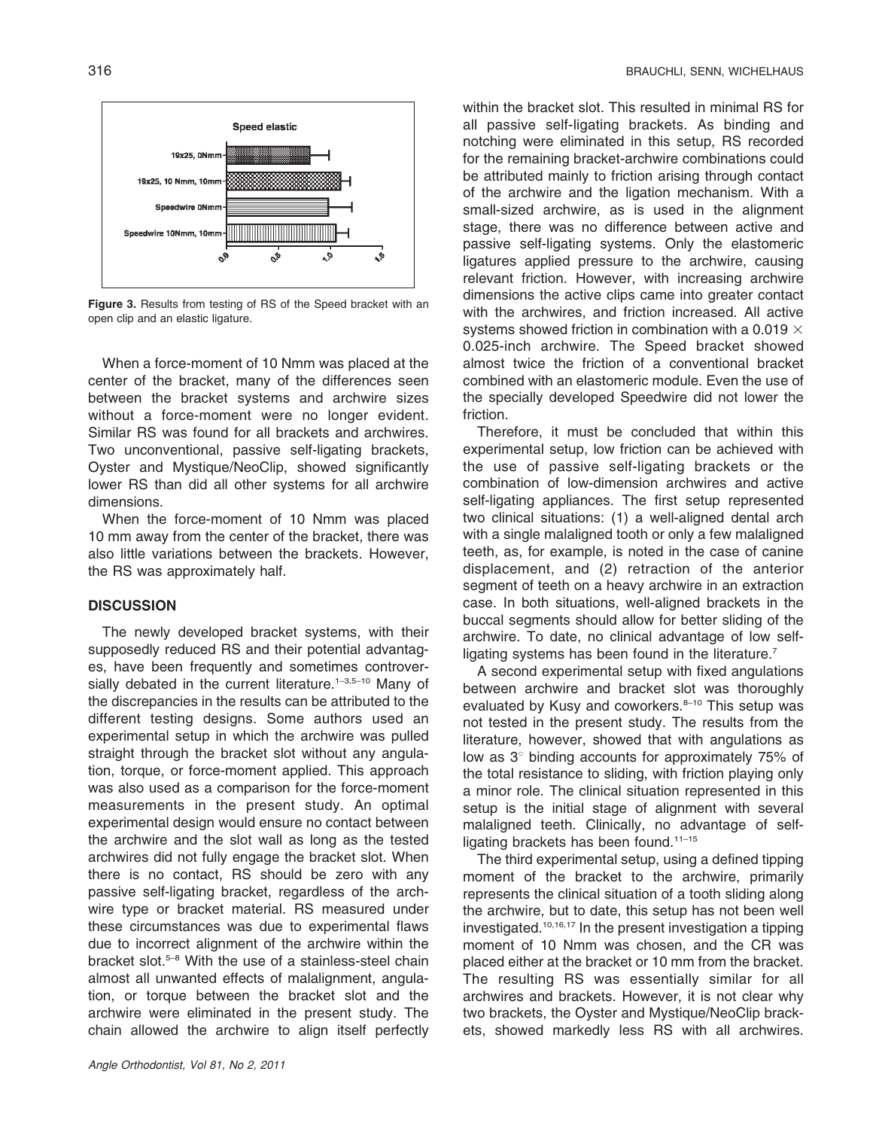

Figure 3. Results from testing of RS of the Speed bracket with an open clip and an elastic ligature.

When a force-moment of 10 Nmm was placed at the center of the bracket, many of the differences seen between the bracket systems and archwire sizes without a force-moment were no longer evident. Similar RS was found for all brackets and archwires. Two unconventional, passive self-ligating brackets, Oyster and Mystique/NeoClip, showed significantly lower RS than did all other systems for all archwire dimensions.

When the force-moment of 10 Nmm was placed 10 mm away from the center of the bracket, there was also little variations between the brackets. However, the RS was approximately half.

## **DISCUSSION**

The newly developed bracket systems, with their supposedly reduced RS and their potential advantages, have been frequently and sometimes controversially debated in the current literature.<sup>1-3,5-10</sup> Many of the discrepancies in the results can be attributed to the different testing designs. Some authors used an experimental setup in which the archwire was pulled straight through the bracket slot without any angulation, torque, or force-moment applied. This approach was also used as a comparison for the force-moment measurements in the present study. An optimal experimental design would ensure no contact between the archwire and the slot wall as long as the tested archwires did not fully engage the bracket slot. When there is no contact, RS should be zero with any passive self-ligating bracket, regardless of the archwire type or bracket material. RS measured under these circumstances was due to experimental flaws due to incorrect alignment of the archwire within the bracket slot.5–8 With the use of a stainless-steel chain almost all unwanted effects of malalignment, angulation, or torque between the bracket slot and the archwire were eliminated in the present study. The chain allowed the archwire to align itself perfectly within the bracket slot. This resulted in minimal RS for all passive self-ligating brackets. As binding and notching were eliminated in this setup, RS recorded for the remaining bracket-archwire combinations could be attributed mainly to friction arising through contact of the archwire and the ligation mechanism. With a small-sized archwire, as is used in the alignment stage, there was no difference between active and passive self-ligating systems. Only the elastomeric ligatures applied pressure to the archwire, causing relevant friction. However, with increasing archwire dimensions the active clips came into greater contact with the archwires, and friction increased. All active systems showed friction in combination with a 0.019  $\times$ 0.025-inch archwire. The Speed bracket showed almost twice the friction of a conventional bracket combined with an elastomeric module. Even the use of the specially developed Speedwire did not lower the friction.

Therefore, it must be concluded that within this experimental setup, low friction can be achieved with the use of passive self-ligating brackets or the combination of low-dimension archwires and active self-ligating appliances. The first setup represented two clinical situations: (1) a well-aligned dental arch with a single malaligned tooth or only a few malaligned teeth, as, for example, is noted in the case of canine displacement, and (2) retraction of the anterior segment of teeth on a heavy archwire in an extraction case. In both situations, well-aligned brackets in the buccal segments should allow for better sliding of the archwire. To date, no clinical advantage of low selfligating systems has been found in the literature.<sup>7</sup>

A second experimental setup with fixed angulations between archwire and bracket slot was thoroughly evaluated by Kusy and coworkers.<sup>8-10</sup> This setup was not tested in the present study. The results from the literature, however, showed that with angulations as low as  $3^\circ$  binding accounts for approximately 75% of the total resistance to sliding, with friction playing only a minor role. The clinical situation represented in this setup is the initial stage of alignment with several malaligned teeth. Clinically, no advantage of selfligating brackets has been found.<sup>11-15</sup>

The third experimental setup, using a defined tipping moment of the bracket to the archwire, primarily represents the clinical situation of a tooth sliding along the archwire, but to date, this setup has not been well investigated.10,16,17 In the present investigation a tipping moment of 10 Nmm was chosen, and the CR was placed either at the bracket or 10 mm from the bracket. The resulting RS was essentially similar for all archwires and brackets. However, it is not clear why two brackets, the Oyster and Mystique/NeoClip brackets, showed markedly less RS with all archwires.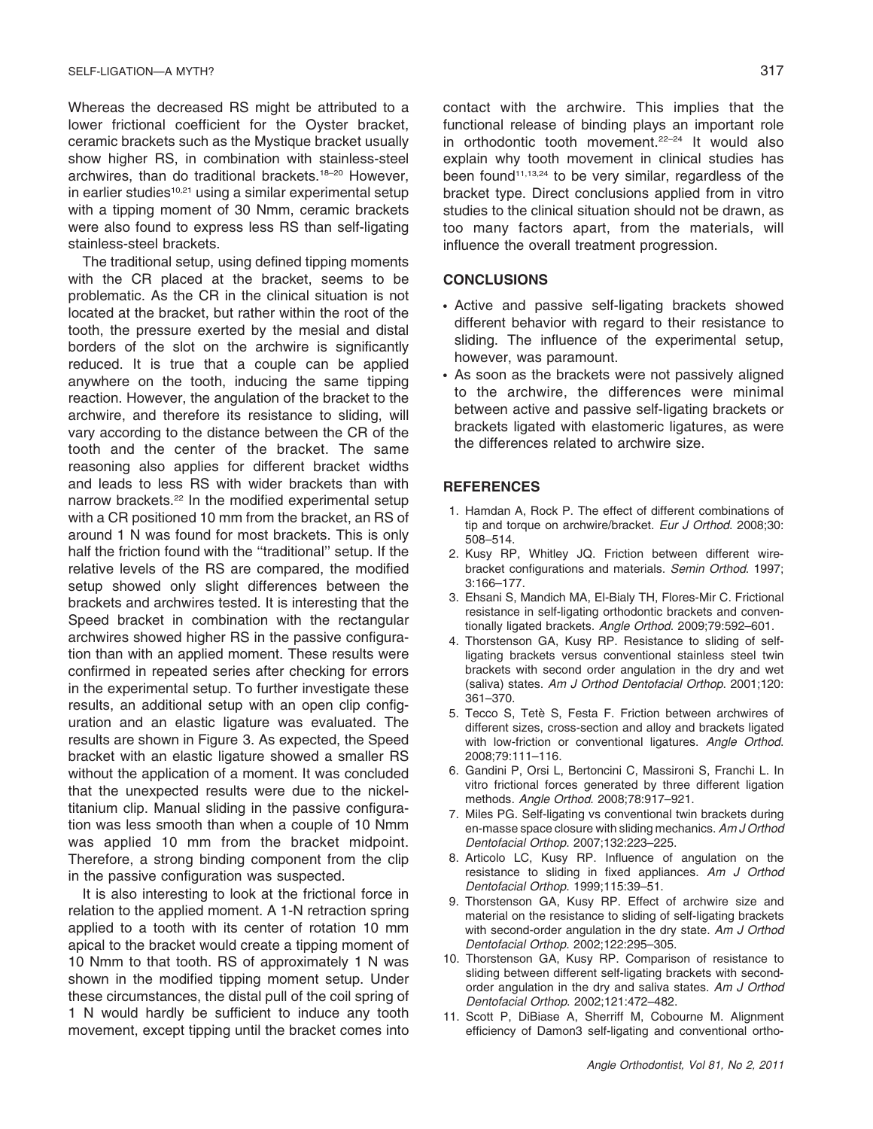Whereas the decreased RS might be attributed to a lower frictional coefficient for the Oyster bracket, ceramic brackets such as the Mystique bracket usually show higher RS, in combination with stainless-steel archwires, than do traditional brackets.18–20 However, in earlier studies $10,21$  using a similar experimental setup with a tipping moment of 30 Nmm, ceramic brackets were also found to express less RS than self-ligating stainless-steel brackets.

The traditional setup, using defined tipping moments with the CR placed at the bracket, seems to be problematic. As the CR in the clinical situation is not located at the bracket, but rather within the root of the tooth, the pressure exerted by the mesial and distal borders of the slot on the archwire is significantly reduced. It is true that a couple can be applied anywhere on the tooth, inducing the same tipping reaction. However, the angulation of the bracket to the archwire, and therefore its resistance to sliding, will vary according to the distance between the CR of the tooth and the center of the bracket. The same reasoning also applies for different bracket widths and leads to less RS with wider brackets than with narrow brackets.<sup>22</sup> In the modified experimental setup with a CR positioned 10 mm from the bracket, an RS of around 1 N was found for most brackets. This is only half the friction found with the "traditional" setup. If the relative levels of the RS are compared, the modified setup showed only slight differences between the brackets and archwires tested. It is interesting that the Speed bracket in combination with the rectangular archwires showed higher RS in the passive configuration than with an applied moment. These results were confirmed in repeated series after checking for errors in the experimental setup. To further investigate these results, an additional setup with an open clip configuration and an elastic ligature was evaluated. The results are shown in Figure 3. As expected, the Speed bracket with an elastic ligature showed a smaller RS without the application of a moment. It was concluded that the unexpected results were due to the nickeltitanium clip. Manual sliding in the passive configuration was less smooth than when a couple of 10 Nmm was applied 10 mm from the bracket midpoint. Therefore, a strong binding component from the clip in the passive configuration was suspected.

It is also interesting to look at the frictional force in relation to the applied moment. A 1-N retraction spring applied to a tooth with its center of rotation 10 mm apical to the bracket would create a tipping moment of 10 Nmm to that tooth. RS of approximately 1 N was shown in the modified tipping moment setup. Under these circumstances, the distal pull of the coil spring of 1 N would hardly be sufficient to induce any tooth movement, except tipping until the bracket comes into

contact with the archwire. This implies that the functional release of binding plays an important role in orthodontic tooth movement.<sup>22-24</sup> It would also explain why tooth movement in clinical studies has been found<sup>11,13,24</sup> to be very similar, regardless of the bracket type. Direct conclusions applied from in vitro studies to the clinical situation should not be drawn, as too many factors apart, from the materials, will

#### **CONCLUSIONS**

• Active and passive self-ligating brackets showed different behavior with regard to their resistance to sliding. The influence of the experimental setup, however, was paramount.

influence the overall treatment progression.

• As soon as the brackets were not passively aligned to the archwire, the differences were minimal between active and passive self-ligating brackets or brackets ligated with elastomeric ligatures, as were the differences related to archwire size.

#### REFERENCES

- 1. Hamdan A, Rock P. The effect of different combinations of tip and torque on archwire/bracket. Eur J Orthod. 2008;30: 508–514.
- 2. Kusy RP, Whitley JQ. Friction between different wirebracket configurations and materials. Semin Orthod. 1997; 3:166–177.
- 3. Ehsani S, Mandich MA, El-Bialy TH, Flores-Mir C. Frictional resistance in self-ligating orthodontic brackets and conventionally ligated brackets. Angle Orthod. 2009;79:592–601.
- 4. Thorstenson GA, Kusy RP. Resistance to sliding of selfligating brackets versus conventional stainless steel twin brackets with second order angulation in the dry and wet (saliva) states. Am J Orthod Dentofacial Orthop. 2001;120: 361–370.
- 5. Tecco S, Tetè S, Festa F. Friction between archwires of different sizes, cross-section and alloy and brackets ligated with low-friction or conventional ligatures. Angle Orthod. 2008;79:111–116.
- 6. Gandini P, Orsi L, Bertoncini C, Massironi S, Franchi L. In vitro frictional forces generated by three different ligation methods. Angle Orthod. 2008;78:917–921.
- 7. Miles PG. Self-ligating vs conventional twin brackets during en-masse space closure with sliding mechanics. Am J Orthod Dentofacial Orthop. 2007;132:223–225.
- 8. Articolo LC, Kusy RP. Influence of angulation on the resistance to sliding in fixed appliances. Am J Orthod Dentofacial Orthop. 1999;115:39–51.
- 9. Thorstenson GA, Kusy RP. Effect of archwire size and material on the resistance to sliding of self-ligating brackets with second-order angulation in the dry state. Am J Orthod Dentofacial Orthop. 2002;122:295–305.
- 10. Thorstenson GA, Kusy RP. Comparison of resistance to sliding between different self-ligating brackets with secondorder angulation in the dry and saliva states. Am J Orthod Dentofacial Orthop. 2002;121:472–482.
- 11. Scott P, DiBiase A, Sherriff M, Cobourne M. Alignment efficiency of Damon3 self-ligating and conventional ortho-